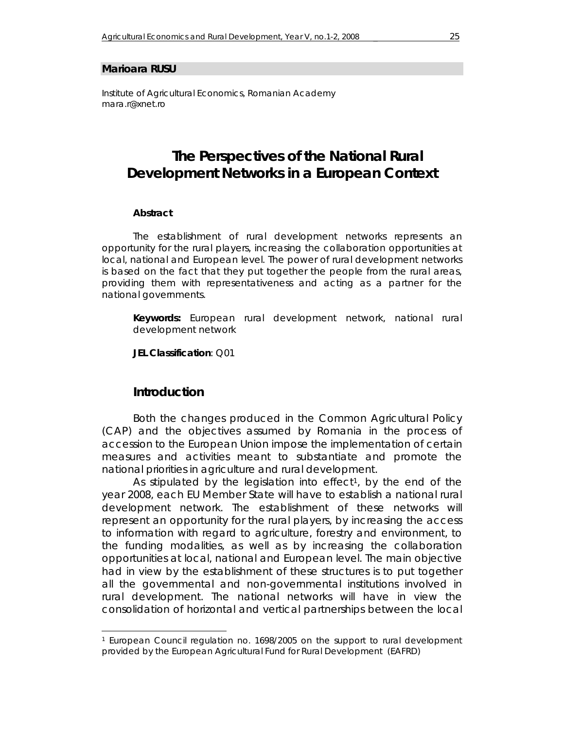#### **Marioara RUSU**

*Institute of Agricultural Economics, Romanian Academy mara.r@xnet.ro* 

# **The Perspectives of the National Rural Development Networks in a European Context**

#### *Abstract*

*The establishment of rural development networks represents an opportunity for the rural players, increasing the collaboration opportunities at local, national and European level. The power of rural development networks is based on the fact that they put together the people from the rural areas, providing them with representativeness and acting as a partner for the national governments.* 

*Keywords: European rural development network, national rural development network* 

*JEL Classification: Q01* 

### **Introduction**

 $\overline{a}$ 

Both the changes produced in the Common Agricultural Policy (CAP) and the objectives assumed by Romania in the process of accession to the European Union impose the implementation of certain measures and activities meant to substantiate and promote the national priorities in agriculture and rural development.

As stipulated by the legislation into effect<sup>1</sup>, by the end of the year 2008, each EU Member State will have to establish a national rural development network. The establishment of these networks will represent an opportunity for the rural players, by increasing the access to information with regard to agriculture, forestry and environment, to the funding modalities, as well as by increasing the collaboration opportunities at local, national and European level. The main objective had in view by the establishment of these structures is to put together all the governmental and non-governmental institutions involved in rural development. The national networks will have in view the consolidation of horizontal and vertical partnerships between the local

<sup>1</sup> European Council regulation no. 1698/2005 on the support to rural development provided by the European Agricultural Fund for Rural Development (EAFRD)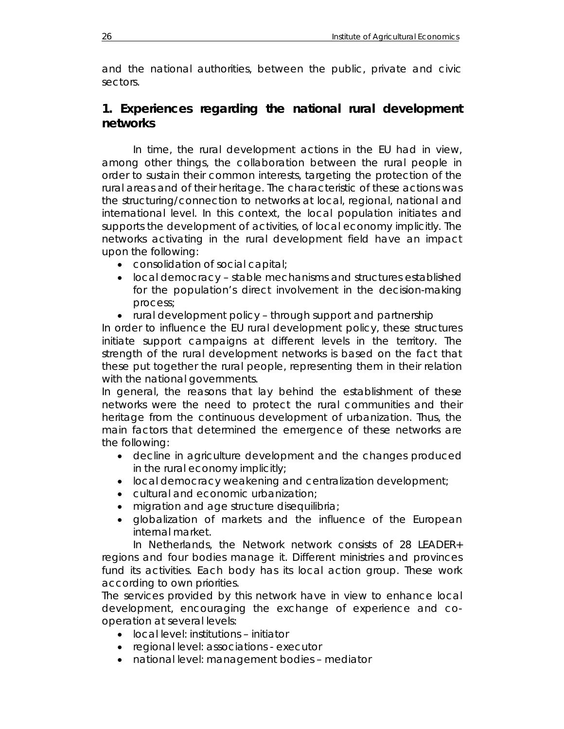and the national authorities, between the public, private and civic sectors.

## **1. Experiences regarding the national rural development networks**

In time, the rural development actions in the EU had in view, among other things, the collaboration between the rural people in order to sustain their common interests, targeting the protection of the rural areas and of their heritage. The characteristic of these actions was the structuring/connection to networks at local, regional, national and international level. In this context, the local population initiates and supports the development of activities, of local economy implicitly. The networks activating in the rural development field have an impact upon the following:

- consolidation of social capital;
- local democracy stable mechanisms and structures established for the population's direct involvement in the decision-making process;
- rural development policy through support and partnership

In order to influence the EU rural development policy, these structures initiate support campaigns at different levels in the territory. The strength of the rural development networks is based on the fact that these put together the rural people, representing them in their relation with the national governments.

In general, the reasons that lay behind the establishment of these networks were the need to protect the rural communities and their heritage from the continuous development of urbanization. Thus, the main factors that determined the emergence of these networks are the following:

- decline in agriculture development and the changes produced in the rural economy implicitly;
- local democracy weakening and centralization development;
- cultural and economic urbanization;
- migration and age structure disequilibria;
- globalization of markets and the influence of the European internal market.

In Netherlands, the *Network* network consists of 28 LEADER+ regions and four bodies manage it. Different ministries and provinces fund its activities. Each body has its local action group. These work according to own priorities.

The services provided by this network have in view to enhance local development, encouraging the exchange of experience and cooperation at several levels:

- local level: institutions initiator
- regional level: associations executor
- national level: management bodies mediator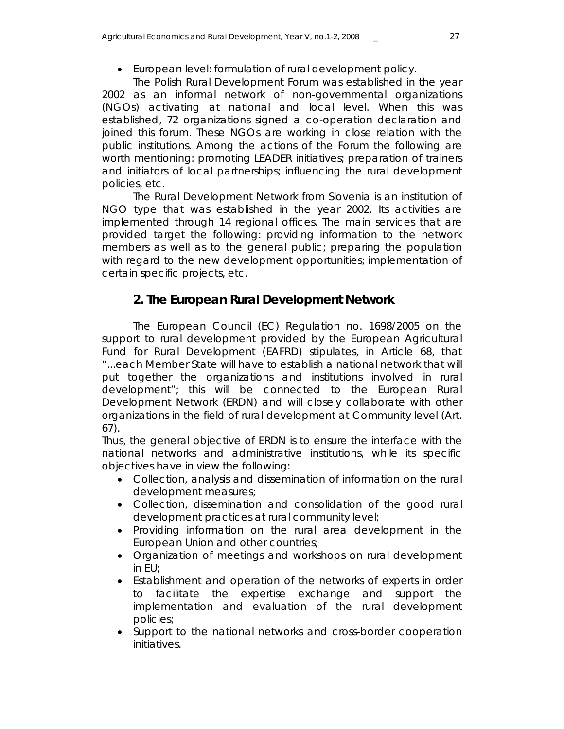# • European level: formulation of rural development policy.

*The Polish Rural Development Forum* was established in the year 2002 as an informal network of non-governmental organizations (NGOs) activating at national and local level. When this was established, 72 organizations signed a co-operation declaration and joined this forum. These NGOs are working in close relation with the public institutions. Among the actions of the Forum the following are worth mentioning: promoting LEADER initiatives; preparation of trainers and initiators of local partnerships; influencing the rural development policies, etc.

*The Rural Development Network from Slovenia* is an institution of NGO type that was established in the year 2002. Its activities are implemented through 14 regional offices. The main services that are provided target the following: providing information to the network members as well as to the general public; preparing the population with regard to the new development opportunities; implementation of certain specific projects, etc.

# **2. The European Rural Development Network**

The European Council (EC) Regulation no. 1698/2005 on the support to rural development provided by the European Agricultural Fund for Rural Development (EAFRD) stipulates, in Article 68, that "...each Member State will have to establish a national network that will put together the organizations and institutions involved in rural development"; this will be connected to the European Rural Development Network (ERDN) and will closely collaborate with other organizations in the field of rural development at Community level (Art. 67).

Thus, the general objective of ERDN is to ensure the interface with the national networks and administrative institutions, while its specific objectives have in view the following:

- Collection, analysis and dissemination of information on the rural development measures;
- Collection, dissemination and consolidation of the good rural development practices at rural community level;
- Providing information on the rural area development in the European Union and other countries;
- Organization of meetings and workshops on rural development in EU;
- Establishment and operation of the networks of experts in order to facilitate the expertise exchange and support the implementation and evaluation of the rural development policies;
- Support to the national networks and cross-border cooperation initiatives.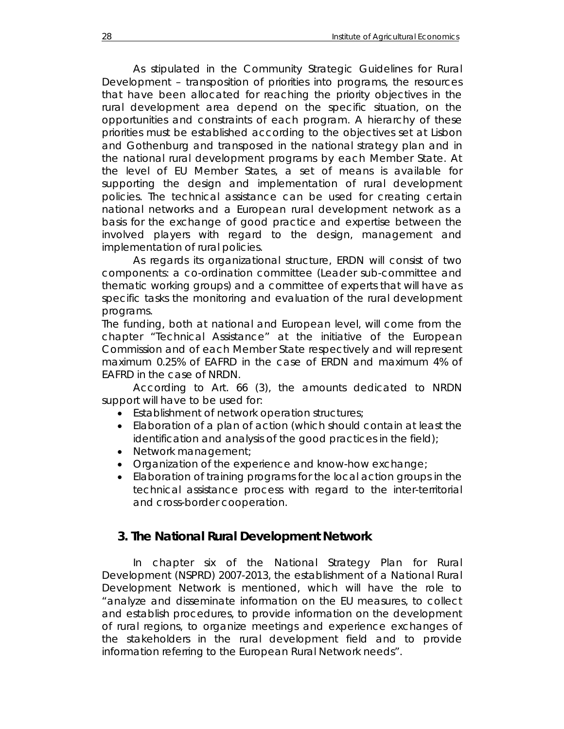As stipulated in the *Community Strategic Guidelines for Rural Development – transposition of priorities into programs,* the resources that have been allocated for reaching the priority objectives in the rural development area depend on the specific situation, on the opportunities and constraints of each program. A hierarchy of these priorities must be established according to the objectives set at Lisbon and Gothenburg and transposed in the national strategy plan and in the national rural development programs by each Member State. At the level of EU Member States, a set of means is available for supporting the design and implementation of rural development policies. The technical assistance can be used for creating certain national networks and a European rural development network as a basis for the exchange of good practice and expertise between the involved players with regard to the design, management and implementation of rural policies.

As regards its organizational structure, ERDN will consist of two components: a co-ordination committee (Leader sub-committee and thematic working groups) and a committee of experts that will have as specific tasks the monitoring and evaluation of the rural development programs.

The funding, both at national and European level, will come from the chapter "Technical Assistance" at the initiative of the European Commission and of each Member State respectively and will represent maximum 0.25% of EAFRD in the case of ERDN and maximum 4% of EAFRD in the case of NRDN.

According to Art. 66 (3), the amounts dedicated to NRDN support will have to be used for:

- Establishment of network operation structures;
- Elaboration of a plan of action (which should contain at least the identification and analysis of the good practices in the field);
- Network management;
- Organization of the experience and know-how exchange;
- Elaboration of training programs for the local action groups in the technical assistance process with regard to the inter-territorial and cross-border cooperation.

## **3. The National Rural Development Network**

In chapter six of the National Strategy Plan for Rural Development (NSPRD) 2007-2013, the establishment of a National Rural Development Network is mentioned, which will have the role to "analyze and disseminate information on the EU measures, to collect and establish procedures, to provide information on the development of rural regions, to organize meetings and experience exchanges of the stakeholders in the rural development field and to provide information referring to the European Rural Network needs".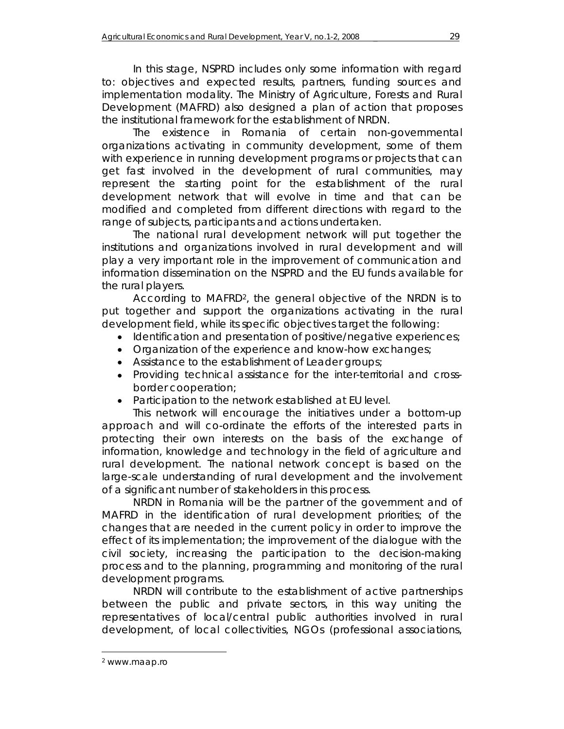In this stage, NSPRD includes only some information with regard to: objectives and expected results, partners, funding sources and implementation modality. The Ministry of Agriculture, Forests and Rural Development (MAFRD) also designed a plan of action that proposes the institutional framework for the establishment of NRDN.

The existence in Romania of certain non-governmental organizations activating in community development, some of them with experience in running development programs or projects that can get fast involved in the development of rural communities, may represent the starting point for the establishment of the rural development network that will evolve in time and that can be modified and completed from different directions with regard to the range of subjects, participants and actions undertaken.

The national rural development network will put together the institutions and organizations involved in rural development and will play a very important role in the improvement of communication and information dissemination on the NSPRD and the EU funds available for the rural players.

According to MAFRD2, the general objective of the NRDN is to put together and support the organizations activating in the rural development field, while its specific objectives target the following:

- Identification and presentation of positive/negative experiences;
- Organization of the experience and know-how exchanges;
- Assistance to the establishment of Leader groups;
- Providing technical assistance for the inter-territorial and crossborder cooperation;
- Participation to the network established at EU level.

This network will encourage the initiatives under a bottom-up approach and will co-ordinate the efforts of the interested parts in protecting their own interests on the basis of the exchange of information, knowledge and technology in the field of agriculture and rural development. The national network concept is based on the large-scale understanding of rural development and the involvement of a significant number of stakeholders in this process.

NRDN in Romania will be the partner of the government and of MAFRD in the identification of rural development priorities; of the changes that are needed in the current policy in order to improve the effect of its implementation; the improvement of the dialogue with the civil society, increasing the participation to the decision-making process and to the planning, programming and monitoring of the rural development programs.

NRDN will contribute to the establishment of active partnerships between the public and private sectors, in this way uniting the representatives of local/central public authorities involved in rural development, of local collectivities, NGOs (professional associations,

l

<sup>2</sup> www.maap.ro